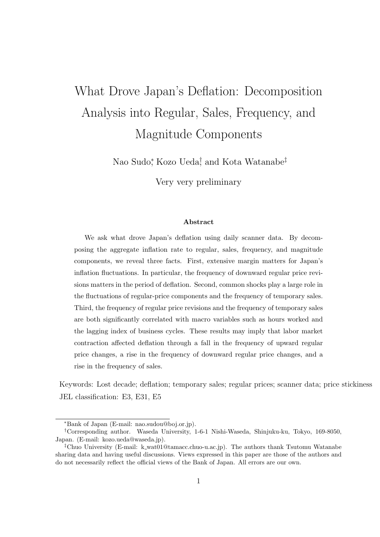# What Drove Japan's Deflation: Decomposition Analysis into Regular, Sales, Frequency, and Magnitude Components

Nao Sudo<sup>\*</sup>, Kozo Ueda<sup>†</sup>, and Kota Watanabe<sup>‡</sup>

Very very preliminary

#### Abstract

We ask what drove Japan's deflation using daily scanner data. By decomposing the aggregate inflation rate to regular, sales, frequency, and magnitude components, we reveal three facts. First, extensive margin matters for Japan's inflation fluctuations. In particular, the frequency of downward regular price revisions matters in the period of deflation. Second, common shocks play a large role in the fluctuations of regular-price components and the frequency of temporary sales. Third, the frequency of regular price revisions and the frequency of temporary sales are both significantly correlated with macro variables such as hours worked and the lagging index of business cycles. These results may imply that labor market contraction affected deflation through a fall in the frequency of upward regular price changes, a rise in the frequency of downward regular price changes, and a rise in the frequency of sales.

Keywords: Lost decade; deflation; temporary sales; regular prices; scanner data; price stickiness JEL classification: E3, E31, E5

<sup>∗</sup>Bank of Japan (E-mail: nao.sudou@boj.or.jp).

<sup>†</sup>Corresponding author. Waseda University, 1-6-1 Nishi-Waseda, Shinjuku-ku, Tokyo, 169-8050, Japan. (E-mail: kozo.ueda@waseda.jp).

<sup>‡</sup>Chuo University (E-mail: k wat01@tamacc.chuo-u.ac.jp). The authors thank Tsutomu Watanabe sharing data and having useful discussions. Views expressed in this paper are those of the authors and do not necessarily reflect the official views of the Bank of Japan. All errors are our own.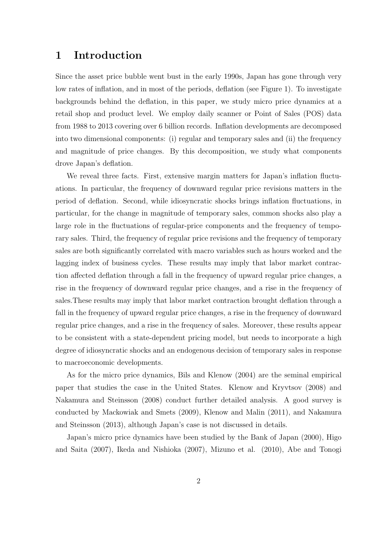### 1 Introduction

Since the asset price bubble went bust in the early 1990s, Japan has gone through very low rates of inflation, and in most of the periods, deflation (see Figure 1). To investigate backgrounds behind the deflation, in this paper, we study micro price dynamics at a retail shop and product level. We employ daily scanner or Point of Sales (POS) data from 1988 to 2013 covering over 6 billion records. Inflation developments are decomposed into two dimensional components: (i) regular and temporary sales and (ii) the frequency and magnitude of price changes. By this decomposition, we study what components drove Japan's deflation.

We reveal three facts. First, extensive margin matters for Japan's inflation fluctuations. In particular, the frequency of downward regular price revisions matters in the period of deflation. Second, while idiosyncratic shocks brings inflation fluctuations, in particular, for the change in magnitude of temporary sales, common shocks also play a large role in the fluctuations of regular-price components and the frequency of temporary sales. Third, the frequency of regular price revisions and the frequency of temporary sales are both significantly correlated with macro variables such as hours worked and the lagging index of business cycles. These results may imply that labor market contraction affected deflation through a fall in the frequency of upward regular price changes, a rise in the frequency of downward regular price changes, and a rise in the frequency of sales.These results may imply that labor market contraction brought deflation through a fall in the frequency of upward regular price changes, a rise in the frequency of downward regular price changes, and a rise in the frequency of sales. Moreover, these results appear to be consistent with a state-dependent pricing model, but needs to incorporate a high degree of idiosyncratic shocks and an endogenous decision of temporary sales in response to macroeconomic developments.

As for the micro price dynamics, Bils and Klenow (2004) are the seminal empirical paper that studies the case in the United States. Klenow and Kryvtsov (2008) and Nakamura and Steinsson (2008) conduct further detailed analysis. A good survey is conducted by Mackowiak and Smets (2009), Klenow and Malin (2011), and Nakamura and Steinsson (2013), although Japan's case is not discussed in details.

Japan's micro price dynamics have been studied by the Bank of Japan (2000), Higo and Saita (2007), Ikeda and Nishioka (2007), Mizuno et al. (2010), Abe and Tonogi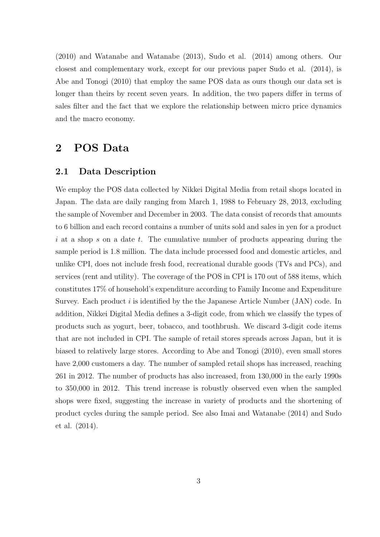(2010) and Watanabe and Watanabe (2013), Sudo et al. (2014) among others. Our closest and complementary work, except for our previous paper Sudo et al. (2014), is Abe and Tonogi (2010) that employ the same POS data as ours though our data set is longer than theirs by recent seven years. In addition, the two papers differ in terms of sales filter and the fact that we explore the relationship between micro price dynamics and the macro economy.

### 2 POS Data

#### 2.1 Data Description

We employ the POS data collected by Nikkei Digital Media from retail shops located in Japan. The data are daily ranging from March 1, 1988 to February 28, 2013, excluding the sample of November and December in 2003. The data consist of records that amounts to 6 billion and each record contains a number of units sold and sales in yen for a product i at a shop s on a date t. The cumulative number of products appearing during the sample period is 1.8 million. The data include processed food and domestic articles, and unlike CPI, does not include fresh food, recreational durable goods (TVs and PCs), and services (rent and utility). The coverage of the POS in CPI is 170 out of 588 items, which constitutes 17% of household's expenditure according to Family Income and Expenditure Survey. Each product  $i$  is identified by the the Japanese Article Number (JAN) code. In addition, Nikkei Digital Media defines a 3-digit code, from which we classify the types of products such as yogurt, beer, tobacco, and toothbrush. We discard 3-digit code items that are not included in CPI. The sample of retail stores spreads across Japan, but it is biased to relatively large stores. According to Abe and Tonogi (2010), even small stores have 2,000 customers a day. The number of sampled retail shops has increased, reaching 261 in 2012. The number of products has also increased, from 130,000 in the early 1990s to 350,000 in 2012. This trend increase is robustly observed even when the sampled shops were fixed, suggesting the increase in variety of products and the shortening of product cycles during the sample period. See also Imai and Watanabe (2014) and Sudo et al. (2014).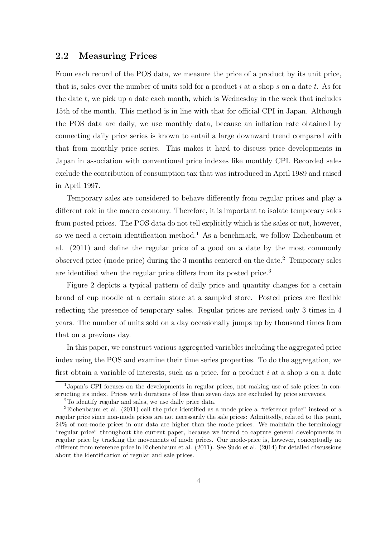#### 2.2 Measuring Prices

From each record of the POS data, we measure the price of a product by its unit price, that is, sales over the number of units sold for a product i at a shop s on a date t. As for the date  $t$ , we pick up a date each month, which is Wednesday in the week that includes 15th of the month. This method is in line with that for official CPI in Japan. Although the POS data are daily, we use monthly data, because an inflation rate obtained by connecting daily price series is known to entail a large downward trend compared with that from monthly price series. This makes it hard to discuss price developments in Japan in association with conventional price indexes like monthly CPI. Recorded sales exclude the contribution of consumption tax that was introduced in April 1989 and raised in April 1997.

Temporary sales are considered to behave differently from regular prices and play a different role in the macro economy. Therefore, it is important to isolate temporary sales from posted prices. The POS data do not tell explicitly which is the sales or not, however, so we need a certain identification method.<sup>1</sup> As a benchmark, we follow Eichenbaum et al. (2011) and define the regular price of a good on a date by the most commonly observed price (mode price) during the 3 months centered on the date.<sup>2</sup> Temporary sales are identified when the regular price differs from its posted price.<sup>3</sup>

Figure 2 depicts a typical pattern of daily price and quantity changes for a certain brand of cup noodle at a certain store at a sampled store. Posted prices are flexible reflecting the presence of temporary sales. Regular prices are revised only 3 times in 4 years. The number of units sold on a day occasionally jumps up by thousand times from that on a previous day.

In this paper, we construct various aggregated variables including the aggregated price index using the POS and examine their time series properties. To do the aggregation, we first obtain a variable of interests, such as a price, for a product  $i$  at a shop  $s$  on a date

<sup>1</sup>Japan's CPI focuses on the developments in regular prices, not making use of sale prices in constructing its index. Prices with durations of less than seven days are excluded by price surveyors.

<sup>2</sup>To identify regular and sales, we use daily price data.

<sup>3</sup>Eichenbaum et al. (2011) call the price identified as a mode price a "reference price" instead of a regular price since non-mode prices are not necessarily the sale prices: Admittedly, related to this point, 24% of non-mode prices in our data are higher than the mode prices. We maintain the terminology "regular price" throughout the current paper, because we intend to capture general developments in regular price by tracking the movements of mode prices. Our mode-price is, however, conceptually no different from reference price in Eichenbaum et al. (2011). See Sudo et al. (2014) for detailed discussions about the identification of regular and sale prices.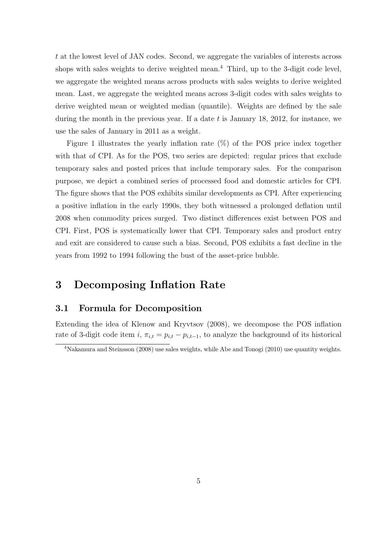t at the lowest level of JAN codes. Second, we aggregate the variables of interests across shops with sales weights to derive weighted mean.<sup>4</sup> Third, up to the 3-digit code level, we aggregate the weighted means across products with sales weights to derive weighted mean. Last, we aggregate the weighted means across 3-digit codes with sales weights to derive weighted mean or weighted median (quantile). Weights are defined by the sale during the month in the previous year. If a date  $t$  is January 18, 2012, for instance, we use the sales of January in 2011 as a weight.

Figure 1 illustrates the yearly inflation rate  $(\%)$  of the POS price index together with that of CPI. As for the POS, two series are depicted: regular prices that exclude temporary sales and posted prices that include temporary sales. For the comparison purpose, we depict a combined series of processed food and domestic articles for CPI. The figure shows that the POS exhibits similar developments as CPI. After experiencing a positive inflation in the early 1990s, they both witnessed a prolonged deflation until 2008 when commodity prices surged. Two distinct differences exist between POS and CPI. First, POS is systematically lower that CPI. Temporary sales and product entry and exit are considered to cause such a bias. Second, POS exhibits a fast decline in the years from 1992 to 1994 following the bust of the asset-price bubble.

### 3 Decomposing Inflation Rate

#### 3.1 Formula for Decomposition

Extending the idea of Klenow and Kryvtsov (2008), we decompose the POS inflation rate of 3-digit code item i,  $\pi_{i,t} = p_{i,t} - p_{i,t-1}$ , to analyze the background of its historical

<sup>&</sup>lt;sup>4</sup>Nakamura and Steinsson (2008) use sales weights, while Abe and Tonogi (2010) use quantity weights.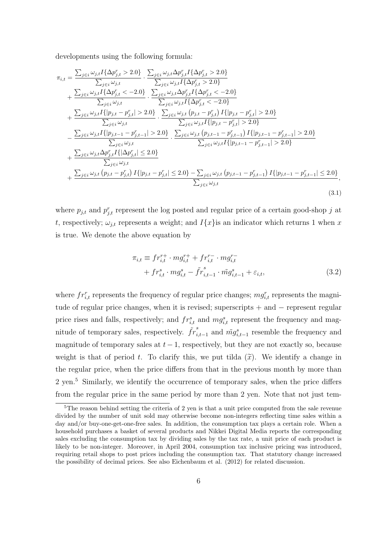developments using the following formula:

$$
\pi_{i,t} = \frac{\sum_{j \in i} \omega_{j,t} I\{\Delta p_{j,t}^r > 2.0\}}{\sum_{j \in i} \omega_{j,t}} \cdot \frac{\sum_{j \in i} \omega_{j,t} I\{\Delta p_{j,t}^r > 2.0\}}{\sum_{j \in i} \omega_{j,t} I\{\Delta p_{j,t}^r > 2.0\}} \n+ \frac{\sum_{j \in i} \omega_{j,t} I\{\Delta p_{j,t}^r < -2.0\}}{\sum_{j \in i} \omega_{j,t} I\{\Delta p_{j,t}^r > 2.0\}} \n+ \frac{\sum_{j \in i} \omega_{j,t} I\{\Delta p_{j,t}^r < -2.0\}}{\sum_{j \in i} \omega_{j,t}} \cdot \frac{\sum_{j \in i} \omega_{j,t} I\{\Delta p_{j,t}^r < -2.0\}}{\sum_{j \in i} \omega_{j,t} I\{\Delta p_{j,t}^r < -2.0\}} \n+ \frac{\sum_{j \in i} \omega_{j,t} I\{[p_{j,t} - p_{j,t}^r] > 2.0\}}{\sum_{j \in i} \omega_{j,t}} \cdot \frac{\sum_{j \in i} \omega_{j,t} [p_{j,t} - p_{j,t}^r] > 2.0\}}{\sum_{j \in i} \omega_{j,t} I\{[p_{j,t} - p_{j,t}^r] > 2.0\}} \n- \frac{\sum_{j \in i} \omega_{j,t} I\{[p_{j,t-1} - p_{j,t-1}^r] > 2.0\}}{\sum_{j \in i} \omega_{j,t}} \cdot \frac{\sum_{j \in i} \omega_{j,t} [p_{j,t-1} - p_{j,t-1}^r] I\{[p_{j,t-1} - p_{j,t-1}^r] > 2.0\}}{\sum_{j \in i} \omega_{j,t}} \n+ \frac{\sum_{j \in i} \omega_{j,t} \Delta p_{j,t}^r I\{\Delta p_{j,t}^r\} \le 2.0\}}{\sum_{j \in i} \omega_{j,t}} \n+ \frac{\sum_{j \in i} \omega_{j,t} (p_{j,t} - p_{j,t}^r) I\{[p_{j,t} - p_{j,t}^r] \le 2.0\} - \sum_{j \in i} \omega_{j,t} (p_{j,t-1} - p_{j,t-1}^r) I
$$

where  $p_{j,t}$  and  $p_{j,t}^r$  represent the log posted and regular price of a certain good-shop j at t, respectively;  $\omega_{j,t}$  represents a weight; and  $I\{x\}$ is an indicator which returns 1 when x is true. We denote the above equation by

$$
\pi_{i,t} \equiv fr_{i,t}^{r+} \cdot mg_{i,t}^{r+} + fr_{i,t}^{r-} \cdot mg_{i,t}^{r-} \n+ fr_{i,t}^{s} \cdot mg_{i,t}^{s} - \tilde{f}r_{i,t-1}^{s} \cdot m\tilde{g}_{i,t-1}^{s} + \varepsilon_{i,t},
$$
\n(3.2)

where  $fr_{i,t}^r$  represents the frequency of regular price changes;  $mg_{i,t}^r$  represents the magnitude of regular price changes, when it is revised; superscripts + and − represent regular price rises and falls, respectively; and  $fr_{i,t}^s$  and  $mg_{i,t}^s$  represent the frequency and magnitude of temporary sales, respectively.  $\tilde{fr}^s_{i,t-1}$  and  $\tilde{mg}^s_{i,t-1}$  resemble the frequency and magnitude of temporary sales at  $t-1$ , respectively, but they are not exactly so, because weight is that of period t. To clarify this, we put tilda  $(\tilde{x})$ . We identify a change in the regular price, when the price differs from that in the previous month by more than 2 yen.<sup>5</sup> Similarly, we identify the occurrence of temporary sales, when the price differs from the regular price in the same period by more than 2 yen. Note that not just tem-

<sup>&</sup>lt;sup>5</sup>The reason behind setting the criteria of 2 yen is that a unit price computed from the sale revenue divided by the number of unit sold may otherwise become non-integers reflecting time sales within a day and/or buy-one-get-one-free sales. In addition, the consumption tax plays a certain role. When a household purchases a basket of several products and Nikkei Digital Media reports the corresponding sales excluding the consumption tax by dividing sales by the tax rate, a unit price of each product is likely to be non-integer. Moreover, in April 2004, consumption tax inclusive pricing was introduced, requiring retail shops to post prices including the consumption tax. That statutory change increased the possibility of decimal prices. See also Eichenbaum et al. (2012) for related discussion.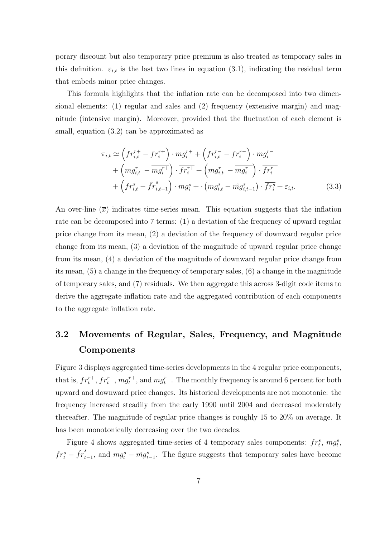porary discount but also temporary price premium is also treated as temporary sales in this definition.  $\varepsilon_{i,t}$  is the last two lines in equation (3.1), indicating the residual term that embeds minor price changes.

This formula highlights that the inflation rate can be decomposed into two dimensional elements: (1) regular and sales and (2) frequency (extensive margin) and magnitude (intensive margin). Moreover, provided that the fluctuation of each element is small, equation (3.2) can be approximated as

$$
\pi_{i,t} \simeq \left( fr_{i,t}^{r+} - \overline{fr_i^{r+}} \right) \cdot \overline{mg_i^{r+}} + \left( fr_{i,t}^{r-} - \overline{fr_i^{r-}} \right) \cdot \overline{mg_i^{r-}} \n+ \left( mg_{i,t}^{r+} - \overline{mg_i^{r+}} \right) \cdot \overline{fr_i^{r+}} + \left( mg_{i,t}^{r-} - \overline{mg_i^{r-}} \right) \cdot \overline{fr_i^{r-}} \n+ \left( fr_{i,t}^{s} - \tilde{fr}_{i,t-1}^{s} \right) \cdot \overline{mg_i^{s}} + \cdot \left( mg_{i,t}^{s} - \tilde{mg}_{i,t-1}^{s} \right) \cdot \overline{fr_i^{s}} + \varepsilon_{i,t}.
$$
\n(3.3)

An over-line  $\overline{x}$  indicates time-series mean. This equation suggests that the inflation rate can be decomposed into 7 terms: (1) a deviation of the frequency of upward regular price change from its mean, (2) a deviation of the frequency of downward regular price change from its mean, (3) a deviation of the magnitude of upward regular price change from its mean, (4) a deviation of the magnitude of downward regular price change from its mean, (5) a change in the frequency of temporary sales, (6) a change in the magnitude of temporary sales, and (7) residuals. We then aggregate this across 3-digit code items to derive the aggregate inflation rate and the aggregated contribution of each components to the aggregate inflation rate.

### 3.2 Movements of Regular, Sales, Frequency, and Magnitude Components

Figure 3 displays aggregated time-series developments in the 4 regular price components, that is,  $fr_t^{r+}, fr_t^{r-}, mgt_t^{r+}$ , and  $mg_t^{r-}$ . The monthly frequency is around 6 percent for both upward and downward price changes. Its historical developments are not monotonic: the frequency increased steadily from the early 1990 until 2004 and decreased moderately thereafter. The magnitude of regular price changes is roughly 15 to 20% on average. It has been monotonically decreasing over the two decades.

Figure 4 shows aggregated time-series of 4 temporary sales components:  $fr_t^s$ ,  $mg_t^s$ ,  $fr_t^s - \tilde{fr}_{t-1}^s$ , and  $mg_t^s - mgh_{t-1}^s$ . The figure suggests that temporary sales have become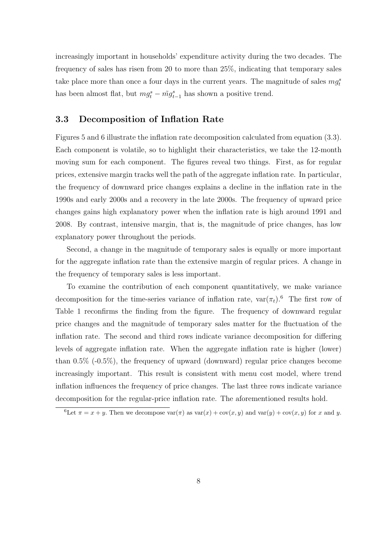increasingly important in households' expenditure activity during the two decades. The frequency of sales has risen from 20 to more than 25%, indicating that temporary sales take place more than once a four days in the current years. The magnitude of sales  $mg_t^s$ has been almost flat, but  $mg_t^s - \tilde{mg}_{t-1}^s$  has shown a positive trend.

#### 3.3 Decomposition of Inflation Rate

Figures 5 and 6 illustrate the inflation rate decomposition calculated from equation (3.3). Each component is volatile, so to highlight their characteristics, we take the 12-month moving sum for each component. The figures reveal two things. First, as for regular prices, extensive margin tracks well the path of the aggregate inflation rate. In particular, the frequency of downward price changes explains a decline in the inflation rate in the 1990s and early 2000s and a recovery in the late 2000s. The frequency of upward price changes gains high explanatory power when the inflation rate is high around 1991 and 2008. By contrast, intensive margin, that is, the magnitude of price changes, has low explanatory power throughout the periods.

Second, a change in the magnitude of temporary sales is equally or more important for the aggregate inflation rate than the extensive margin of regular prices. A change in the frequency of temporary sales is less important.

To examine the contribution of each component quantitatively, we make variance decomposition for the time-series variance of inflation rate,  $var(\pi_t)$ .<sup>6</sup> The first row of Table 1 reconfirms the finding from the figure. The frequency of downward regular price changes and the magnitude of temporary sales matter for the fluctuation of the inflation rate. The second and third rows indicate variance decomposition for differing levels of aggregate inflation rate. When the aggregate inflation rate is higher (lower) than 0.5% (-0.5%), the frequency of upward (downward) regular price changes become increasingly important. This result is consistent with menu cost model, where trend inflation influences the frequency of price changes. The last three rows indicate variance decomposition for the regular-price inflation rate. The aforementioned results hold.

<sup>&</sup>lt;sup>6</sup>Let  $\pi = x + y$ . Then we decompose  $\text{var}(\pi)$  as  $\text{var}(x) + \text{cov}(x, y)$  and  $\text{var}(y) + \text{cov}(x, y)$  for x and y.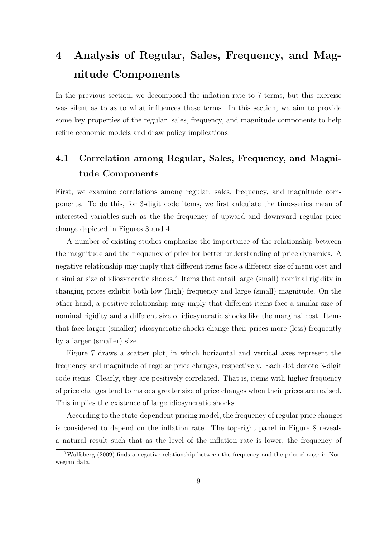## 4 Analysis of Regular, Sales, Frequency, and Magnitude Components

In the previous section, we decomposed the inflation rate to 7 terms, but this exercise was silent as to as to what influences these terms. In this section, we aim to provide some key properties of the regular, sales, frequency, and magnitude components to help refine economic models and draw policy implications.

### 4.1 Correlation among Regular, Sales, Frequency, and Magnitude Components

First, we examine correlations among regular, sales, frequency, and magnitude components. To do this, for 3-digit code items, we first calculate the time-series mean of interested variables such as the the frequency of upward and downward regular price change depicted in Figures 3 and 4.

A number of existing studies emphasize the importance of the relationship between the magnitude and the frequency of price for better understanding of price dynamics. A negative relationship may imply that different items face a different size of menu cost and a similar size of idiosyncratic shocks.<sup>7</sup> Items that entail large (small) nominal rigidity in changing prices exhibit both low (high) frequency and large (small) magnitude. On the other hand, a positive relationship may imply that different items face a similar size of nominal rigidity and a different size of idiosyncratic shocks like the marginal cost. Items that face larger (smaller) idiosyncratic shocks change their prices more (less) frequently by a larger (smaller) size.

Figure 7 draws a scatter plot, in which horizontal and vertical axes represent the frequency and magnitude of regular price changes, respectively. Each dot denote 3-digit code items. Clearly, they are positively correlated. That is, items with higher frequency of price changes tend to make a greater size of price changes when their prices are revised. This implies the existence of large idiosyncratic shocks.

According to the state-dependent pricing model, the frequency of regular price changes is considered to depend on the inflation rate. The top-right panel in Figure 8 reveals a natural result such that as the level of the inflation rate is lower, the frequency of

<sup>7</sup>Wulfsberg (2009) finds a negative relationship between the frequency and the price change in Norwegian data.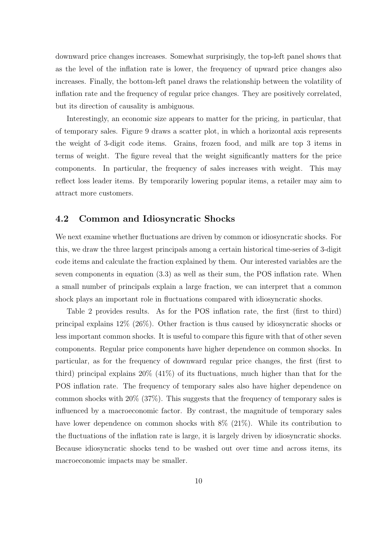downward price changes increases. Somewhat surprisingly, the top-left panel shows that as the level of the inflation rate is lower, the frequency of upward price changes also increases. Finally, the bottom-left panel draws the relationship between the volatility of inflation rate and the frequency of regular price changes. They are positively correlated, but its direction of causality is ambiguous.

Interestingly, an economic size appears to matter for the pricing, in particular, that of temporary sales. Figure 9 draws a scatter plot, in which a horizontal axis represents the weight of 3-digit code items. Grains, frozen food, and milk are top 3 items in terms of weight. The figure reveal that the weight significantly matters for the price components. In particular, the frequency of sales increases with weight. This may reflect loss leader items. By temporarily lowering popular items, a retailer may aim to attract more customers.

#### 4.2 Common and Idiosyncratic Shocks

We next examine whether fluctuations are driven by common or idiosyncratic shocks. For this, we draw the three largest principals among a certain historical time-series of 3-digit code items and calculate the fraction explained by them. Our interested variables are the seven components in equation (3.3) as well as their sum, the POS inflation rate. When a small number of principals explain a large fraction, we can interpret that a common shock plays an important role in fluctuations compared with idiosyncratic shocks.

Table 2 provides results. As for the POS inflation rate, the first (first to third) principal explains 12% (26%). Other fraction is thus caused by idiosyncratic shocks or less important common shocks. It is useful to compare this figure with that of other seven components. Regular price components have higher dependence on common shocks. In particular, as for the frequency of downward regular price changes, the first (first to third) principal explains 20% (41%) of its fluctuations, much higher than that for the POS inflation rate. The frequency of temporary sales also have higher dependence on common shocks with 20% (37%). This suggests that the frequency of temporary sales is influenced by a macroeconomic factor. By contrast, the magnitude of temporary sales have lower dependence on common shocks with  $8\%$  (21%). While its contribution to the fluctuations of the inflation rate is large, it is largely driven by idiosyncratic shocks. Because idiosyncratic shocks tend to be washed out over time and across items, its macroeconomic impacts may be smaller.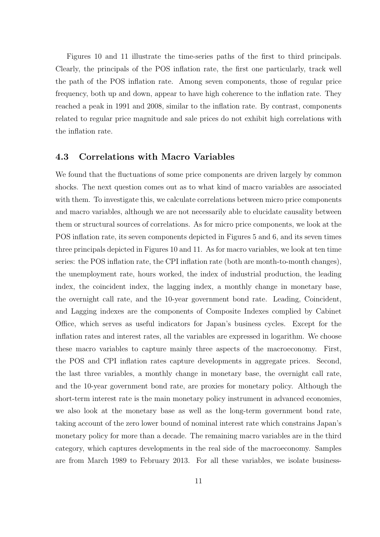Figures 10 and 11 illustrate the time-series paths of the first to third principals. Clearly, the principals of the POS inflation rate, the first one particularly, track well the path of the POS inflation rate. Among seven components, those of regular price frequency, both up and down, appear to have high coherence to the inflation rate. They reached a peak in 1991 and 2008, similar to the inflation rate. By contrast, components related to regular price magnitude and sale prices do not exhibit high correlations with the inflation rate.

#### 4.3 Correlations with Macro Variables

We found that the fluctuations of some price components are driven largely by common shocks. The next question comes out as to what kind of macro variables are associated with them. To investigate this, we calculate correlations between micro price components and macro variables, although we are not necessarily able to elucidate causality between them or structural sources of correlations. As for micro price components, we look at the POS inflation rate, its seven components depicted in Figures 5 and 6, and its seven times three principals depicted in Figures 10 and 11. As for macro variables, we look at ten time series: the POS inflation rate, the CPI inflation rate (both are month-to-month changes), the unemployment rate, hours worked, the index of industrial production, the leading index, the coincident index, the lagging index, a monthly change in monetary base, the overnight call rate, and the 10-year government bond rate. Leading, Coincident, and Lagging indexes are the components of Composite Indexes complied by Cabinet Office, which serves as useful indicators for Japan's business cycles. Except for the inflation rates and interest rates, all the variables are expressed in logarithm. We choose these macro variables to capture mainly three aspects of the macroeconomy. First, the POS and CPI inflation rates capture developments in aggregate prices. Second, the last three variables, a monthly change in monetary base, the overnight call rate, and the 10-year government bond rate, are proxies for monetary policy. Although the short-term interest rate is the main monetary policy instrument in advanced economies, we also look at the monetary base as well as the long-term government bond rate, taking account of the zero lower bound of nominal interest rate which constrains Japan's monetary policy for more than a decade. The remaining macro variables are in the third category, which captures developments in the real side of the macroeconomy. Samples are from March 1989 to February 2013. For all these variables, we isolate business-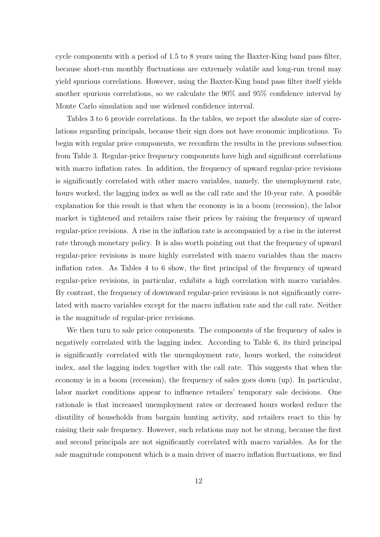cycle components with a period of 1.5 to 8 years using the Baxter-King band pass filter, because short-run monthly fluctuations are extremely volatile and long-run trend may yield spurious correlations. However, using the Baxter-King band pass filter itself yields another spurious correlations, so we calculate the 90% and 95% confidence interval by Monte Carlo simulation and use widened confidence interval.

Tables 3 to 6 provide correlations. In the tables, we report the absolute size of correlations regarding principals, because their sign does not have economic implications. To begin with regular price components, we reconfirm the results in the previous subsection from Table 3. Regular-price frequency components have high and significant correlations with macro inflation rates. In addition, the frequency of upward regular-price revisions is significantly correlated with other macro variables, namely, the unemployment rate, hours worked, the lagging index as well as the call rate and the 10-year rate. A possible explanation for this result is that when the economy is in a boom (recession), the labor market is tightened and retailers raise their prices by raising the frequency of upward regular-price revisions. A rise in the inflation rate is accompanied by a rise in the interest rate through monetary policy. It is also worth pointing out that the frequency of upward regular-price revisions is more highly correlated with macro variables than the macro inflation rates. As Tables 4 to 6 show, the first principal of the frequency of upward regular-price revisions, in particular, exhibits a high correlation with macro variables. By contrast, the frequency of downward regular-price revisions is not significantly correlated with macro variables except for the macro inflation rate and the call rate. Neither is the magnitude of regular-price revisions.

We then turn to sale price components. The components of the frequency of sales is negatively correlated with the lagging index. According to Table 6, its third principal is significantly correlated with the unemployment rate, hours worked, the coincident index, and the lagging index together with the call rate. This suggests that when the economy is in a boom (recession), the frequency of sales goes down (up). In particular, labor market conditions appear to influence retailers' temporary sale decisions. One rationale is that increased unemployment rates or decreased hours worked reduce the disutility of households from bargain hunting activity, and retailers react to this by raising their sale frequency. However, such relations may not be strong, because the first and second principals are not significantly correlated with macro variables. As for the sale magnitude component which is a main driver of macro inflation fluctuations, we find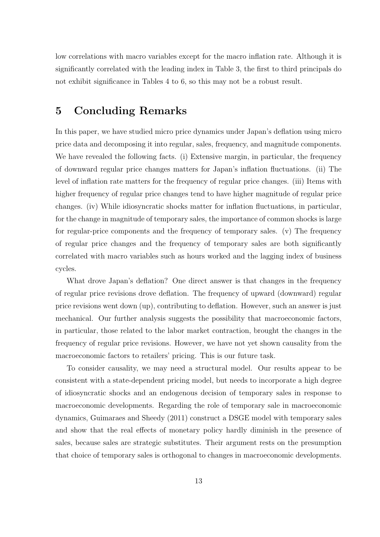low correlations with macro variables except for the macro inflation rate. Although it is significantly correlated with the leading index in Table 3, the first to third principals do not exhibit significance in Tables 4 to 6, so this may not be a robust result.

### 5 Concluding Remarks

In this paper, we have studied micro price dynamics under Japan's deflation using micro price data and decomposing it into regular, sales, frequency, and magnitude components. We have revealed the following facts. (i) Extensive margin, in particular, the frequency of downward regular price changes matters for Japan's inflation fluctuations. (ii) The level of inflation rate matters for the frequency of regular price changes. (iii) Items with higher frequency of regular price changes tend to have higher magnitude of regular price changes. (iv) While idiosyncratic shocks matter for inflation fluctuations, in particular, for the change in magnitude of temporary sales, the importance of common shocks is large for regular-price components and the frequency of temporary sales. (v) The frequency of regular price changes and the frequency of temporary sales are both significantly correlated with macro variables such as hours worked and the lagging index of business cycles.

What drove Japan's deflation? One direct answer is that changes in the frequency of regular price revisions drove deflation. The frequency of upward (downward) regular price revisions went down (up), contributing to deflation. However, such an answer is just mechanical. Our further analysis suggests the possibility that macroeconomic factors, in particular, those related to the labor market contraction, brought the changes in the frequency of regular price revisions. However, we have not yet shown causality from the macroeconomic factors to retailers' pricing. This is our future task.

To consider causality, we may need a structural model. Our results appear to be consistent with a state-dependent pricing model, but needs to incorporate a high degree of idiosyncratic shocks and an endogenous decision of temporary sales in response to macroeconomic developments. Regarding the role of temporary sale in macroeconomic dynamics, Guimaraes and Sheedy (2011) construct a DSGE model with temporary sales and show that the real effects of monetary policy hardly diminish in the presence of sales, because sales are strategic substitutes. Their argument rests on the presumption that choice of temporary sales is orthogonal to changes in macroeconomic developments.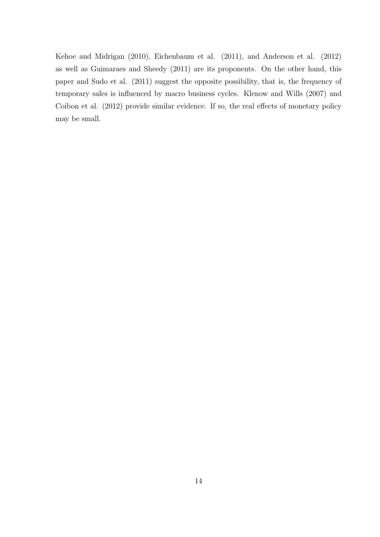Kehoe and Midrigan (2010), Eichenbaum et al. (2011), and Anderson et al. (2012) as well as Guimaraes and Sheedy (2011) are its proponents. On the other hand, this paper and Sudo et al. (2011) suggest the opposite possibility, that is, the frequency of temporary sales is influenced by macro business cycles. Klenow and Wills (2007) and Coibon et al. (2012) provide similar evidence. If so, the real effects of monetary policy may be small.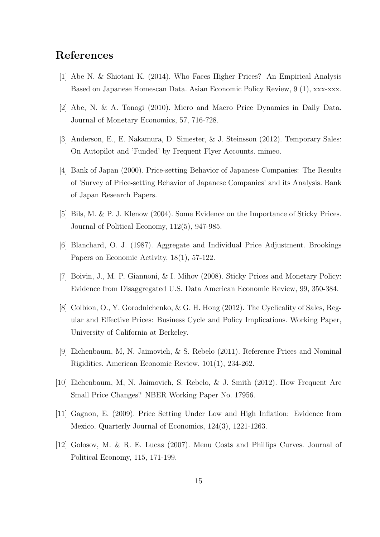### References

- [1] Abe N. & Shiotani K. (2014). Who Faces Higher Prices? An Empirical Analysis Based on Japanese Homescan Data. Asian Economic Policy Review, 9 (1), xxx-xxx.
- [2] Abe, N. & A. Tonogi (2010). Micro and Macro Price Dynamics in Daily Data. Journal of Monetary Economics, 57, 716-728.
- [3] Anderson, E., E. Nakamura, D. Simester, & J. Steinsson (2012). Temporary Sales: On Autopilot and 'Funded' by Frequent Flyer Accounts. mimeo.
- [4] Bank of Japan (2000). Price-setting Behavior of Japanese Companies: The Results of 'Survey of Price-setting Behavior of Japanese Companies' and its Analysis. Bank of Japan Research Papers.
- [5] Bils, M. & P. J. Klenow (2004). Some Evidence on the Importance of Sticky Prices. Journal of Political Economy, 112(5), 947-985.
- [6] Blanchard, O. J. (1987). Aggregate and Individual Price Adjustment. Brookings Papers on Economic Activity, 18(1), 57-122.
- [7] Boivin, J., M. P. Giannoni, & I. Mihov (2008). Sticky Prices and Monetary Policy: Evidence from Disaggregated U.S. Data American Economic Review, 99, 350-384.
- [8] Coibion, O., Y. Gorodnichenko, & G. H. Hong (2012). The Cyclicality of Sales, Regular and Effective Prices: Business Cycle and Policy Implications. Working Paper, University of California at Berkeley.
- [9] Eichenbaum, M, N. Jaimovich, & S. Rebelo (2011). Reference Prices and Nominal Rigidities. American Economic Review, 101(1), 234-262.
- [10] Eichenbaum, M, N. Jaimovich, S. Rebelo, & J. Smith (2012). How Frequent Are Small Price Changes? NBER Working Paper No. 17956.
- [11] Gagnon, E. (2009). Price Setting Under Low and High Inflation: Evidence from Mexico. Quarterly Journal of Economics, 124(3), 1221-1263.
- [12] Golosov, M. & R. E. Lucas (2007). Menu Costs and Phillips Curves. Journal of Political Economy, 115, 171-199.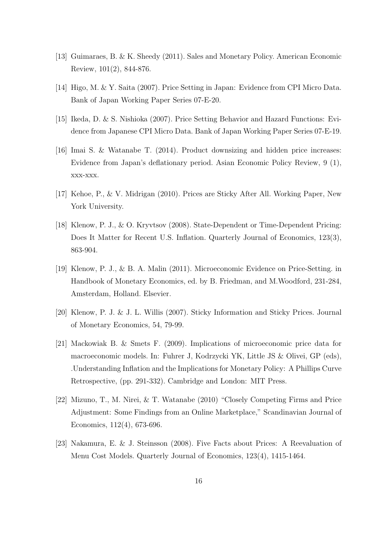- [13] Guimaraes, B. & K. Sheedy (2011). Sales and Monetary Policy. American Economic Review, 101(2), 844-876.
- [14] Higo, M. & Y. Saita (2007). Price Setting in Japan: Evidence from CPI Micro Data. Bank of Japan Working Paper Series 07-E-20.
- [15] Ikeda, D. & S. Nishioka (2007). Price Setting Behavior and Hazard Functions: Evidence from Japanese CPI Micro Data. Bank of Japan Working Paper Series 07-E-19.
- [16] Imai S. & Watanabe T. (2014). Product downsizing and hidden price increases: Evidence from Japan's deflationary period. Asian Economic Policy Review, 9 (1), xxx-xxx.
- [17] Kehoe, P., & V. Midrigan (2010). Prices are Sticky After All. Working Paper, New York University.
- [18] Klenow, P. J., & O. Kryvtsov (2008). State-Dependent or Time-Dependent Pricing: Does It Matter for Recent U.S. Inflation. Quarterly Journal of Economics, 123(3), 863-904.
- [19] Klenow, P. J., & B. A. Malin (2011). Microeconomic Evidence on Price-Setting. in Handbook of Monetary Economics, ed. by B. Friedman, and M.Woodford, 231-284, Amsterdam, Holland. Elsevier.
- [20] Klenow, P. J. & J. L. Willis (2007). Sticky Information and Sticky Prices. Journal of Monetary Economics, 54, 79-99.
- [21] Mackowiak B. & Smets F. (2009). Implications of microeconomic price data for macroeconomic models. In: Fuhrer J, Kodrzycki YK, Little JS & Olivei, GP (eds), .Understanding Inflation and the Implications for Monetary Policy: A Phillips Curve Retrospective, (pp. 291-332). Cambridge and London: MIT Press.
- [22] Mizuno, T., M. Nirei, & T. Watanabe (2010) "Closely Competing Firms and Price Adjustment: Some Findings from an Online Marketplace," Scandinavian Journal of Economics, 112(4), 673-696.
- [23] Nakamura, E. & J. Steinsson (2008). Five Facts about Prices: A Reevaluation of Menu Cost Models. Quarterly Journal of Economics, 123(4), 1415-1464.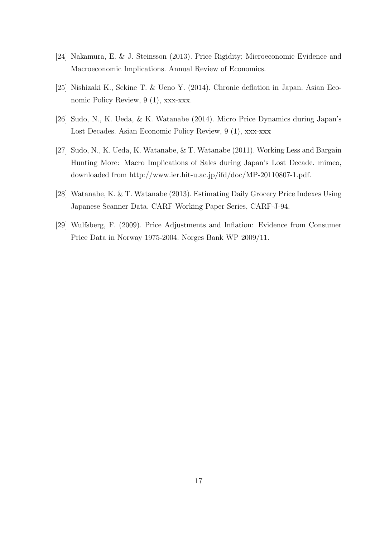- [24] Nakamura, E. & J. Steinsson (2013). Price Rigidity; Microeconomic Evidence and Macroeconomic Implications. Annual Review of Economics.
- [25] Nishizaki K., Sekine T. & Ueno Y. (2014). Chronic deflation in Japan. Asian Economic Policy Review, 9 (1), xxx-xxx.
- [26] Sudo, N., K. Ueda, & K. Watanabe (2014). Micro Price Dynamics during Japan's Lost Decades. Asian Economic Policy Review, 9 (1), xxx-xxx
- [27] Sudo, N., K. Ueda, K. Watanabe, & T. Watanabe (2011). Working Less and Bargain Hunting More: Macro Implications of Sales during Japan's Lost Decade. mimeo, downloaded from http://www.ier.hit-u.ac.jp/ifd/doc/MP-20110807-1.pdf.
- [28] Watanabe, K. & T. Watanabe (2013). Estimating Daily Grocery Price Indexes Using Japanese Scanner Data. CARF Working Paper Series, CARF-J-94.
- [29] Wulfsberg, F. (2009). Price Adjustments and Inflation: Evidence from Consumer Price Data in Norway 1975-2004. Norges Bank WP 2009/11.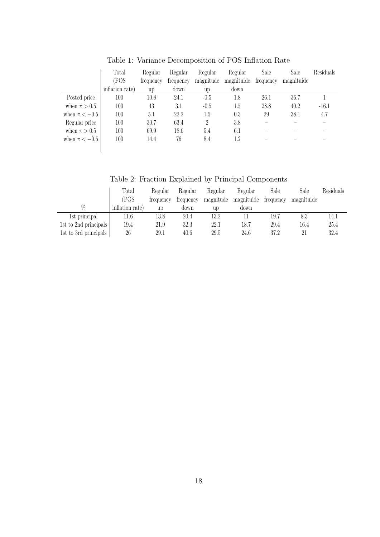|                   | Total<br>(POS   | Regular<br>frequency | Regular<br>frequency | Regular<br>magnitude | Regular<br>magnituide | Sale<br>frequency | Sale<br>magnituide | Residuals |
|-------------------|-----------------|----------------------|----------------------|----------------------|-----------------------|-------------------|--------------------|-----------|
|                   | inflation rate) | up                   | down                 | up                   | down                  |                   |                    |           |
| Posted price      | 100             | 10.8                 | 24.1                 | $-0.5$               | 1.8                   | 26.1              | 36.7               |           |
| when $\pi > 0.5$  | 100             | 43                   | 3.1                  | $-0.5$               | 1.5                   | 28.8              | 40.2               | $-16.1$   |
| when $\pi < -0.5$ | 100             | 5.1                  | 22.2                 | 1.5                  | 0.3                   | 29                | 38.1               | 4.7       |
| Regular price     | 100             | 30.7                 | 63.4                 | $\mathfrak{D}$       | 3.8                   |                   |                    |           |
| when $\pi > 0.5$  | 100             | 69.9                 | 18.6                 | 5.4                  | 6.1                   |                   |                    |           |
| when $\pi < -0.5$ | 100             | 14.4                 | 76                   | 8.4                  | 1.2                   |                   |                    |           |
|                   |                 |                      |                      |                      |                       |                   |                    |           |

Table 1: Variance Decomposition of POS Inflation Rate

Table 2: Fraction Explained by Principal Components

|                       | Total           | Regular   | Regular   | Regular   | Regular    | Sale      | Sale       | Residuals |
|-----------------------|-----------------|-----------|-----------|-----------|------------|-----------|------------|-----------|
|                       | <b>POS</b>      | trequency | trequency | magnitude | magnituide | frequency | magnituide |           |
| %                     | inflation rate) | up        | down      | up        | down       |           |            |           |
| 1st principal         | 11.6            | 13.8      | 20.4      | 13.2      |            | 19.7      | 8.3        | 14.1      |
| 1st to 2nd principals | 19.4            | 21.9      | 32.3      | 22.1      | 18.7       | 29.4      | 16.4       | 25.4      |
| 1st to 3rd principals | 26              | 29.1      | 40.6      | 29.5      | 24.6       | 37.2      | 21         | 32.4      |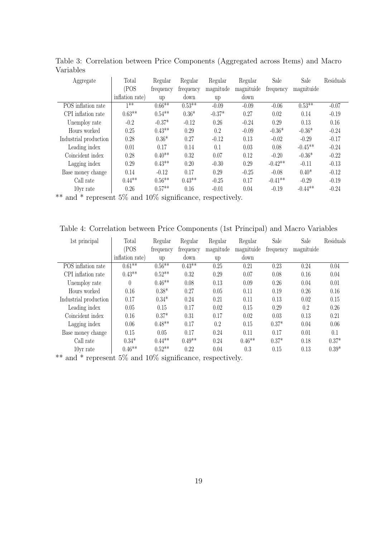| Aggregate             | Total           | Regular   | Regular   | Regular   | Regular    | Sale      | Sale       | Residuals |
|-----------------------|-----------------|-----------|-----------|-----------|------------|-----------|------------|-----------|
|                       | (POS            | frequency | frequency | magnitude | magnituide | frequency | magnituide |           |
|                       | inflation rate) | up        | down      | up        | down       |           |            |           |
| POS inflation rate    | $1**$           | $0.66***$ | $0.53**$  | $-0.09$   | $-0.09$    | $-0.06$   | $0.53**$   | $-0.07$   |
| CPI inflation rate    | $0.63**$        | $0.54**$  | $0.36*$   | $-0.37*$  | 0.27       | 0.02      | 0.14       | $-0.19$   |
| Unemploy rate         | $-0.2$          | $-0.37*$  | $-0.12$   | 0.26      | $-0.24$    | 0.29      | 0.13       | 0.16      |
| Hours worked          | 0.25            | $0.43**$  | 0.29      | 0.2       | $-0.09$    | $-0.36*$  | $-0.36*$   | $-0.24$   |
| Industrial production | 0.28            | $0.36*$   | 0.27      | $-0.12$   | 0.13       | $-0.02$   | $-0.29$    | $-0.17$   |
| Leading index         | 0.01            | 0.17      | 0.14      | 0.1       | 0.03       | 0.08      | $-0.45**$  | $-0.24$   |
| Coincident index      | 0.28            | $0.40**$  | 0.32      | 0.07      | 0.12       | $-0.20$   | $-0.36*$   | $-0.22$   |
| Lagging index         | 0.29            | $0.43**$  | 0.20      | $-0.30$   | 0.29       | $-0.42**$ | $-0.11$    | $-0.13$   |
| Base money change     | 0.14            | $-0.12$   | 0.17      | 0.29      | $-0.25$    | $-0.08$   | $0.40*$    | $-0.12$   |
| Call rate             | $0.44**$        | $0.56**$  | $0.43**$  | $-0.25$   | 0.17       | $-0.41**$ | $-0.29$    | $-0.19$   |
| 10yr rate             | 0.26            | $0.57**$  | 0.16      | $-0.01$   | 0.04       | $-0.19$   | $-0.44**$  | $-0.24$   |

Table 3: Correlation between Price Components (Aggregated across Items) and Macro Variables

\*\* and \* represent 5% and 10% significance, respectively.

Table 4: Correlation between Price Components (1st Principal) and Macro Variables

| 1st principal                                                     | Total            | Regular   | Regular   | Regular   | Regular    | Sale      | Sale       | Residuals |
|-------------------------------------------------------------------|------------------|-----------|-----------|-----------|------------|-----------|------------|-----------|
|                                                                   | (POS             | frequency | frequency | magnitude | magnituide | frequency | magnituide |           |
|                                                                   | inflation rate)  | up        | down      | up        | down       |           |            |           |
| POS inflation rate                                                | $0.61**$         | $0.56**$  | $0.43**$  | 0.25      | 0.21       | 0.23      | 0.24       | 0.04      |
| CPI inflation rate                                                | $0.43**$         | $0.52**$  | 0.32      | 0.29      | 0.07       | 0.08      | 0.16       | 0.04      |
| Unemploy rate                                                     | $\left( \right)$ | $0.46**$  | 0.08      | 0.13      | 0.09       | 0.26      | 0.04       | 0.01      |
| Hours worked                                                      | 0.16             | $0.38*$   | 0.27      | 0.05      | 0.11       | 0.19      | 0.26       | 0.16      |
| Industrial production                                             | 0.17             | $0.34*$   | 0.24      | 0.21      | 0.11       | 0.13      | 0.02       | 0.15      |
| Leading index                                                     | 0.05             | 0.15      | 0.17      | 0.02      | 0.15       | 0.29      | 0.2        | 0.26      |
| Coincident index                                                  | 0.16             | $0.37*$   | 0.31      | 0.17      | 0.02       | 0.03      | 0.13       | 0.21      |
| Lagging index                                                     | 0.06             | $0.48**$  | 0.17      | 0.2       | 0.15       | $0.37*$   | 0.04       | 0.06      |
| Base money change                                                 | 0.15             | 0.05      | 0.17      | 0.24      | 0.11       | 0.17      | 0.01       | 0.1       |
| Call rate                                                         | $0.34*$          | $0.44**$  | $0.49**$  | 0.24      | $0.46**$   | $0.37*$   | 0.18       | $0.37*$   |
| 10 <sub>vr</sub> rate                                             | $0.46**$         | $0.52**$  | 0.22      | 0.04      | 0.3        | 0.15      | 0.13       | $0.39*$   |
| $**$ and $*$ represent $5\%$ and $10\%$ significance respectively |                  |           |           |           |            |           |            |           |

and  $*$  represent 5% and 10% significance, respectively.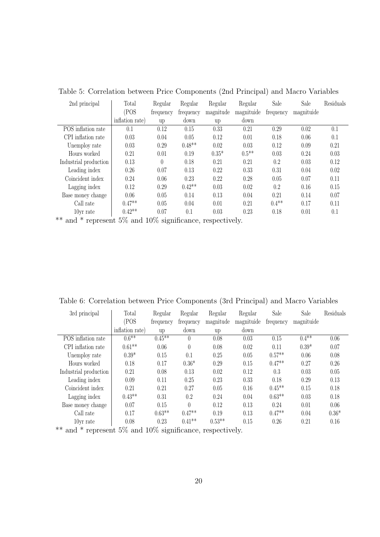| 2nd principal         | Total                    | Regular          | Regular        | Regular   | Regular    | Sale      | Sale       | Residuals |
|-----------------------|--------------------------|------------------|----------------|-----------|------------|-----------|------------|-----------|
|                       | (POS                     | frequency        | frequency      | magnitude | magnituide | frequency | magnituide |           |
|                       | inflation rate)          | up               | down           | up        | down       |           |            |           |
| POS inflation rate    | 0.1                      | 0.12             | 0.15           | 0.33      | 0.21       | 0.29      | 0.02       | 0.1       |
| CPI inflation rate    | 0.03                     | 0.04             | 0.05           | 0.12      | 0.01       | 0.18      | 0.06       | 0.1       |
| Unemploy rate         | 0.03                     | 0.29             | $0.48**$       | 0.02      | 0.03       | 0.12      | 0.09       | 0.21      |
| Hours worked          | 0.21                     | 0.01             | 0.19           | $0.35*$   | $0.5**$    | 0.03      | 0.24       | 0.03      |
| Industrial production | 0.13                     | $\theta$         | 0.18           | 0.21      | 0.21       | 0.2       | 0.03       | 0.12      |
| Leading index         | 0.26                     | 0.07             | 0.13           | 0.22      | 0.33       | 0.31      | 0.04       | 0.02      |
| Coincident index      | 0.24                     | 0.06             | 0.23           | 0.22      | 0.28       | 0.05      | 0.07       | 0.11      |
| Lagging index         | 0.12                     | 0.29             | $0.42**$       | 0.03      | 0.02       | 0.2       | 0.16       | 0.15      |
| Base money change     | 0.06                     | 0.05             | 0.14           | 0.13      | 0.04       | 0.21      | 0.14       | 0.07      |
| Call rate             | $0.47**$                 | 0.05             | 0.04           | 0.01      | 0.21       | $0.4**$   | 0.17       | 0.11      |
| 10yr rate             | $0.42**$                 | 0.07             | 0.1            | 0.03      | 0.23       | 0.18      | 0.01       | 0.1       |
| حالہ جات<br>ے ہ       | $\overline{\phantom{a}}$ | $\mathbf{1}$ and | $\cdot$ $\cap$ |           |            |           |            |           |

Table 5: Correlation between Price Components (2nd Principal) and Macro Variables

\*\* and \* represent 5% and 10% significance, respectively.

Table 6: Correlation between Price Components (3rd Principal) and Macro Variables

| 3rd principal         | Total           | Regular   | Regular          | Regular   | Regular    | Sale      | Sale       | Residuals |
|-----------------------|-----------------|-----------|------------------|-----------|------------|-----------|------------|-----------|
|                       | (POS            | frequency | frequency        | magnitude | magnituide | frequency | magnituide |           |
|                       | inflation rate) | up        | down             | up        | down       |           |            |           |
| POS inflation rate    | $0.6**$         | $0.45**$  | $\theta$         | 0.08      | 0.03       | 0.15      | $0.4**$    | 0.06      |
| CPI inflation rate    | $0.61**$        | 0.06      | $\left( \right)$ | 0.08      | 0.02       | 0.11      | $0.39*$    | 0.07      |
| Unemploy rate         | $0.39*$         | 0.15      | 0.1              | 0.25      | 0.05       | $0.57**$  | 0.06       | 0.08      |
| Hours worked          | 0.18            | 0.17      | $0.36*$          | 0.29      | 0.15       | $0.47**$  | 0.27       | 0.26      |
| Industrial production | 0.21            | 0.08      | 0.13             | 0.02      | 0.12       | 0.3       | 0.03       | 0.05      |
| Leading index         | 0.09            | 0.11      | 0.25             | 0.23      | 0.33       | 0.18      | 0.29       | 0.13      |
| Coincident index      | 0.21            | 0.21      | 0.27             | 0.05      | 0.16       | $0.45**$  | 0.15       | 0.18      |
| Lagging index         | $0.43**$        | 0.31      | 0.2              | 0.24      | 0.04       | $0.63**$  | 0.03       | 0.18      |
| Base money change     | 0.07            | 0.15      | $\theta$         | 0.12      | 0.13       | 0.24      | 0.01       | 0.06      |
| Call rate             | 0.17            | $0.63**$  | $0.47**$         | 0.19      | 0.13       | $0.47**$  | 0.04       | $0.36*$   |
| 10yr rate             | 0.08            | 0.23      | $0.41**$         | $0.53**$  | 0.15       | 0.26      | 0.21       | 0.16      |

\*\* and \* represent 5% and 10% significance, respectively.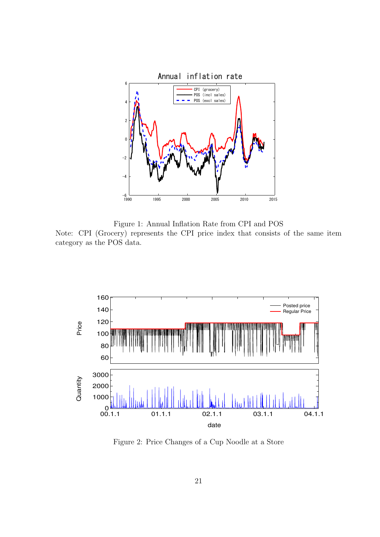

Figure 1: Annual Inflation Rate from CPI and POS Note: CPI (Grocery) represents the CPI price index that consists of the same item category as the POS data.



Figure 2: Price Changes of a Cup Noodle at a Store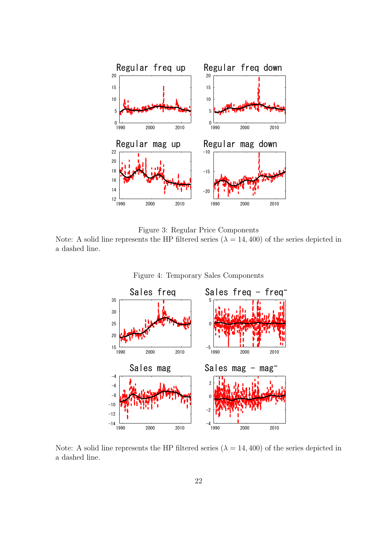

Figure 3: Regular Price Components

Note: A solid line represents the HP filtered series ( $\lambda = 14,400$ ) of the series depicted in a dashed line.



Figure 4: Temporary Sales Components

Note: A solid line represents the HP filtered series  $(\lambda = 14, 400)$  of the series depicted in a dashed line.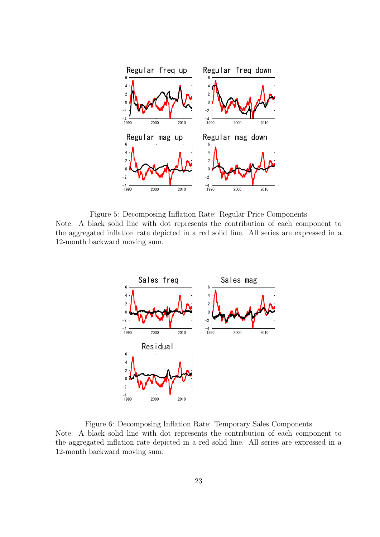

Figure 5: Decomposing Inflation Rate: Regular Price Components Note: A black solid line with dot represents the contribution of each component to the aggregated inflation rate depicted in a red solid line. All series are expressed in a 12-month backward moving sum.



Figure 6: Decomposing Inflation Rate: Temporary Sales Components Note: A black solid line with dot represents the contribution of each component to the aggregated inflation rate depicted in a red solid line. All series are expressed in a 12-month backward moving sum.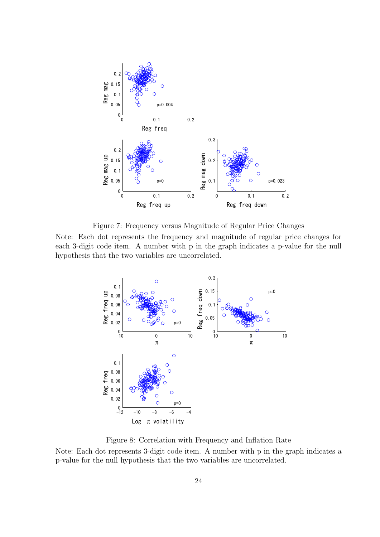

Figure 7: Frequency versus Magnitude of Regular Price Changes

Note: Each dot represents the frequency and magnitude of regular price changes for each 3-digit code item. A number with p in the graph indicates a p-value for the null hypothesis that the two variables are uncorrelated.



Figure 8: Correlation with Frequency and Inflation Rate

Note: Each dot represents 3-digit code item. A number with p in the graph indicates a p-value for the null hypothesis that the two variables are uncorrelated.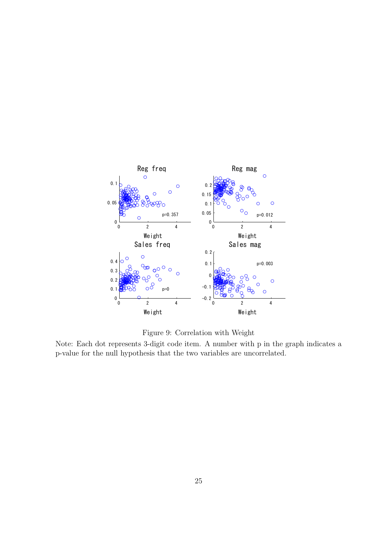

Figure 9: Correlation with Weight

Note: Each dot represents 3-digit code item. A number with p in the graph indicates a p-value for the null hypothesis that the two variables are uncorrelated.